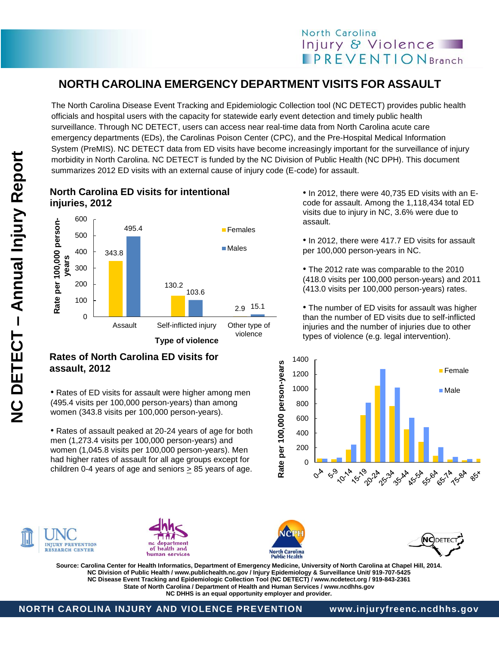## **NORTH CAROLINA EMERGENCY DEPARTMENT VISITS FOR ASSAULT**

The North Carolina Disease Event Tracking and Epidemiologic Collection tool (NC DETECT) provides public health officials and hospital users with the capacity for statewide early event detection and timely public health surveillance. Through NC DETECT, users can access near real-time data from North Carolina acute care emergency departments (EDs), the Carolinas Poison Center (CPC), and the Pre-Hospital Medical Information System (PreMIS). NC DETECT data from ED visits have become increasingly important for the surveillance of injury morbidity in North Carolina. NC DETECT is funded by the NC Division of Public Health (NC DPH). This document summarizes 2012 ED visits with an external cause of injury code (E-code) for assault.

**NC DETECT - Annual Injury Report – Annual Injury Report NC DETECT** 

## **North Carolina ED visits for intentional injuries, 2012**



• In 2012, there were 40,735 ED visits with an Ecode for assault. Among the 1,118,434 total ED visits due to injury in NC, 3.6% were due to assault.

• In 2010, • In 2012, there were 417.7 ED visits for assault per 100,000 person-years in NC.

The 2012 rate was comparable to the 2010<br>(418.0 visits per 100,000 person-years) and 2011  $(413.0 \text{ visits per } 100,000 \text{ person-years})$  rates. • The 2012 rate was comparable to the 2010

The number of ED visits for assault was higher<br>than the number of ED visits due to self-inflicted injuries and the number of injuries due to other types of violence (e.g. legal intervention). • The number of ED visits for assault was higher





Rate per 100,000 person-years • Rates of ED visits for assault were higher among men (495.4 visits per 100,000 person-years) than among women (343.8 visits per 100,000 person-years). • Rates of assault peaked at 20-24 years of age for both

men (1,273.4 visits per 100,000 person-years) and women (1,045.8 visits per 100,000 person-years). Men had higher rates of assault for all age groups except for children 0-4 years of age and seniors > 85 years of age.

**Rates of North Carolina ED visits for** 



**assault, 2012**







Source: Carolina Center for Health Informatics, Department of Emergency Medicine, University of North Carolina at Chapel Hill, 2014.<br>NG Division of Bublic Hoelth (www.publichaelth.pe.gov (Injury Enidemialogy & Surveillance **NC Disease Event Tracking and Epidemiologic Collection Tool (NC DETECT) / www.ncdetect.org / 919-843-2361** person-years **NC Division of Public Health / www.publichealth.nc.gov / Injury Epidemiology & Surveillance Unit/ 919-707-5425 State of North Carolina / Department of Health and Human Services / www.ncdhhs.gov NC DHHS is an equal opportunity employer and provider.**